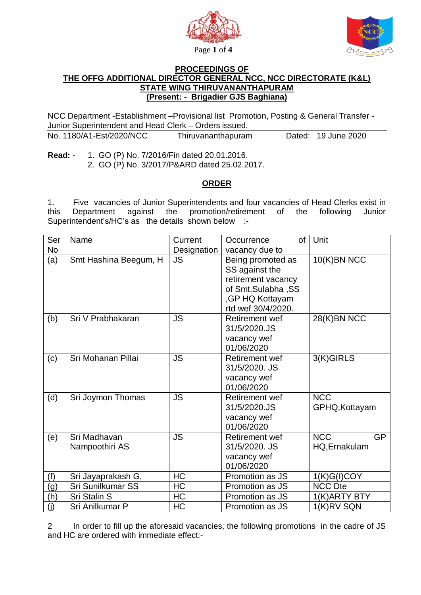



## **PROCEEDINGS OF THE OFFG ADDITIONAL DIRECTOR GENERAL NCC, NCC DIRECTORATE (K&L) STATE WING THIRUVANANTHAPURAM (Present: - Brigadier GJS Baghiana)**

NCC Department -Establishment –Provisional list Promotion, Posting & General Transfer - Junior Superintendent and Head Clerk – Orders issued.

| No. 1180/A1-Est/2020/NCC | Thiruvananthapuram | Dated: 19 June 2020 |  |
|--------------------------|--------------------|---------------------|--|
|                          |                    |                     |  |

**Read:** - 1. GO (P) No. 7/2016/Fin dated 20.01.2016. 2. GO (P) No. 3/2017/P&ARD dated 25.02.2017.

## **ORDER**

1. Five vacancies of Junior Superintendents and four vacancies of Head Clerks exist in this Department against the promotion/retirement of the following Junior Superintendent's/HC's as the details shown below :-

| Ser       | Name                           | Current     | of<br>Occurrence                                                                                                         | Unit                                     |
|-----------|--------------------------------|-------------|--------------------------------------------------------------------------------------------------------------------------|------------------------------------------|
| <b>No</b> |                                | Designation | vacancy due to                                                                                                           |                                          |
| (a)       | Smt Hashina Beegum, H          | <b>JS</b>   | Being promoted as<br>SS against the<br>retirement vacancy<br>of Smt.Sulabha, SS<br>,GP HQ Kottayam<br>rtd wef 30/4/2020. | 10(K)BN NCC                              |
| (b)       | Sri V Prabhakaran              | <b>JS</b>   | <b>Retirement wef</b><br>31/5/2020.JS<br>vacancy wef<br>01/06/2020                                                       | 28(K)BN NCC                              |
| (c)       | Sri Mohanan Pillai             | <b>JS</b>   | <b>Retirement wef</b><br>31/5/2020, JS<br>vacancy wef<br>01/06/2020                                                      | 3(K)GIRLS                                |
| (d)       | Sri Joymon Thomas              | <b>JS</b>   | <b>Retirement wef</b><br>31/5/2020.JS<br>vacancy wef<br>01/06/2020                                                       | <b>NCC</b><br>GPHQ, Kottayam             |
| (e)       | Sri Madhavan<br>Nampoothiri AS | <b>JS</b>   | <b>Retirement wef</b><br>31/5/2020. JS<br>vacancy wef<br>01/06/2020                                                      | <b>NCC</b><br><b>GP</b><br>HQ, Ernakulam |
| (f)       | Sri Jayaprakash G,             | <b>HC</b>   | Promotion as JS                                                                                                          | 1(K)G(I)COY                              |
| (g)       | Sri Sunilkumar SS              | <b>HC</b>   | Promotion as JS                                                                                                          | <b>NCC Dte</b>                           |
| (h)       | Sri Stalin S                   | HC          | Promotion as JS                                                                                                          | 1(K) ARTY BTY                            |
| (i)       | Sri Anilkumar P                | HC          | Promotion as JS                                                                                                          | 1(K)RV SQN                               |

2 In order to fill up the aforesaid vacancies, the following promotions in the cadre of JS and HC are ordered with immediate effect:-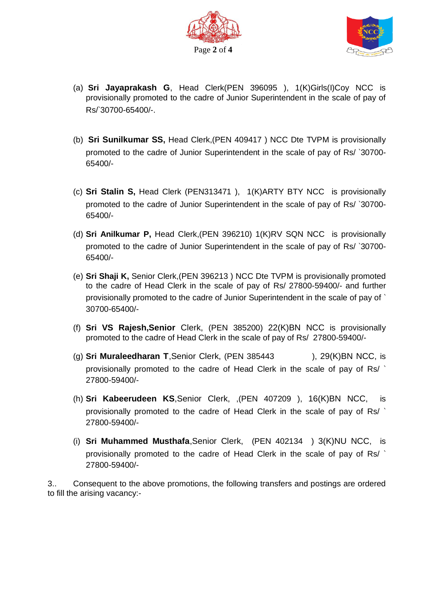



- (a) **Sri Jayaprakash G**, Head Clerk(PEN 396095 ), 1(K)Girls(I)Coy NCC is provisionally promoted to the cadre of Junior Superintendent in the scale of pay of Rs/`30700-65400/-.
- (b) **Sri Sunilkumar SS,** Head Clerk,(PEN 409417 ) NCC Dte TVPM is provisionally promoted to the cadre of Junior Superintendent in the scale of pay of Rs/ `30700- 65400/-
- (c) **Sri Stalin S,** Head Clerk (PEN313471 ), 1(K)ARTY BTY NCC is provisionally promoted to the cadre of Junior Superintendent in the scale of pay of Rs/ `30700- 65400/-
- (d) **Sri Anilkumar P,** Head Clerk,(PEN 396210) 1(K)RV SQN NCC is provisionally promoted to the cadre of Junior Superintendent in the scale of pay of Rs/ `30700- 65400/-
- (e) **Sri Shaji K,** Senior Clerk,(PEN 396213 ) NCC Dte TVPM is provisionally promoted to the cadre of Head Clerk in the scale of pay of Rs/ 27800-59400/- and further provisionally promoted to the cadre of Junior Superintendent in the scale of pay of ` 30700-65400/-
- (f) **Sri VS Rajesh,Senior** Clerk, (PEN 385200) 22(K)BN NCC is provisionally promoted to the cadre of Head Clerk in the scale of pay of Rs/ 27800-59400/-
- (g) **Sri Muraleedharan T**,Senior Clerk, (PEN 385443 ), 29(K)BN NCC, is provisionally promoted to the cadre of Head Clerk in the scale of pay of Rs/ ` 27800-59400/-
- (h) **Sri Kabeerudeen KS**,Senior Clerk, ,(PEN 407209 ), 16(K)BN NCC, is provisionally promoted to the cadre of Head Clerk in the scale of pay of Rs/ ` 27800-59400/-
- (i) **Sri Muhammed Musthafa**,Senior Clerk, (PEN 402134 ) 3(K)NU NCC, is provisionally promoted to the cadre of Head Clerk in the scale of pay of Rs/ ` 27800-59400/-

3.. Consequent to the above promotions, the following transfers and postings are ordered to fill the arising vacancy:-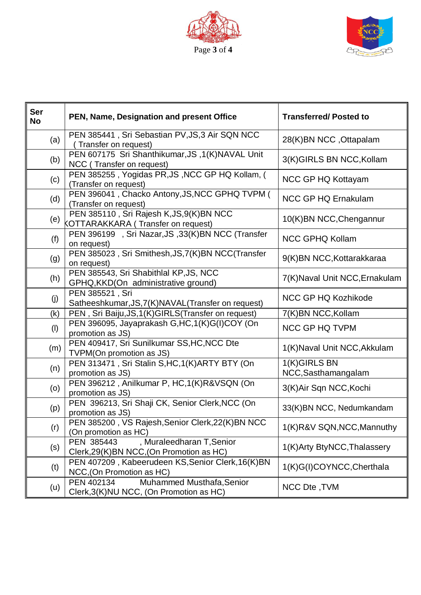



| <b>Ser</b><br><b>No</b> | PEN, Name, Designation and present Office                                            | <b>Transferred/Posted to</b>        |  |
|-------------------------|--------------------------------------------------------------------------------------|-------------------------------------|--|
| (a)                     | PEN 385441, Sri Sebastian PV, JS, 3 Air SQN NCC<br>Transfer on request)              | 28(K)BN NCC, Ottapalam              |  |
| (b)                     | PEN 607175 Sri Shanthikumar, JS, 1(K)NAVAL Unit<br>NCC (Transfer on request)         | 3(K)GIRLS BN NCC, Kollam            |  |
| (c)                     | PEN 385255, Yogidas PR, JS, NCC GP HQ Kollam, (<br>(Transfer on request)             | NCC GP HQ Kottayam                  |  |
| (d)                     | PEN 396041, Chacko Antony, JS, NCC GPHQ TVPM (<br>(Transfer on request)              | <b>NCC GP HQ Ernakulam</b>          |  |
| (e)                     | PEN 385110, Sri Rajesh K, JS, 9(K) BN NCC<br>KOTTARAKKARA (Transfer on request)      | 10(K)BN NCC, Chengannur             |  |
| (f)                     | PEN 396199 , Sri Nazar, JS, 33(K)BN NCC (Transfer<br>on request)                     | <b>NCC GPHQ Kollam</b>              |  |
| (g)                     | PEN 385023, Sri Smithesh, JS, 7(K) BN NCC (Transfer<br>on request)                   | 9(K)BN NCC, Kottarakkaraa           |  |
| (h)                     | PEN 385543, Sri Shabithlal KP, JS, NCC<br>GPHQ, KKD(On administrative ground)        | 7(K) Naval Unit NCC, Ernakulam      |  |
| (j)                     | PEN 385521, Sri<br>Satheeshkumar, JS, 7(K) NAVAL (Transfer on request)               | NCC GP HQ Kozhikode                 |  |
| (k)                     | PEN, Sri Baiju, JS, 1(K) GIRLS (Transfer on request)                                 | 7(K)BN NCC, Kollam                  |  |
| (1)                     | PEN 396095, Jayaprakash G, HC, 1(K) G(I) COY (On<br>promotion as JS)                 | <b>NCC GP HQ TVPM</b>               |  |
| (m)                     | PEN 409417, Sri Sunilkumar SS, HC, NCC Dte<br>TVPM(On promotion as JS)               | 1(K) Naval Unit NCC, Akkulam        |  |
| (n)                     | PEN 313471, Sri Stalin S, HC, 1(K) ARTY BTY (On<br>promotion as JS)                  | 1(K)GIRLS BN<br>NCC, Sasthamangalam |  |
| (0)                     | PEN 396212, Anilkumar P, HC,1(K)R&VSQN (On<br>promotion as JS)                       | 3(K)Air Sqn NCC, Kochi              |  |
| (p)                     | PEN 396213, Sri Shaji CK, Senior Clerk, NCC (On<br>promotion as JS)                  | 33(K)BN NCC, Nedumkandam            |  |
| (r)                     | PEN 385200, VS Rajesh, Senior Clerk, 22(K) BN NCC<br>(On promotion as HC)            | 1(K)R&V SQN, NCC, Mannuthy          |  |
| (s)                     | , Muraleedharan T, Senior<br>PEN 385443<br>Clerk, 29(K) BN NCC, (On Promotion as HC) | 1(K) Arty BtyNCC, Thalassery        |  |
| (t)                     | PEN 407209, Kabeerudeen KS, Senior Clerk, 16(K)BN<br>NCC, (On Promotion as HC)       | 1(K)G(I)COYNCC, Cherthala           |  |
| (u)                     | PEN 402134<br>Muhammed Musthafa, Senior<br>Clerk, 3(K) NU NCC, (On Promotion as HC)  | NCC Dte, TVM                        |  |